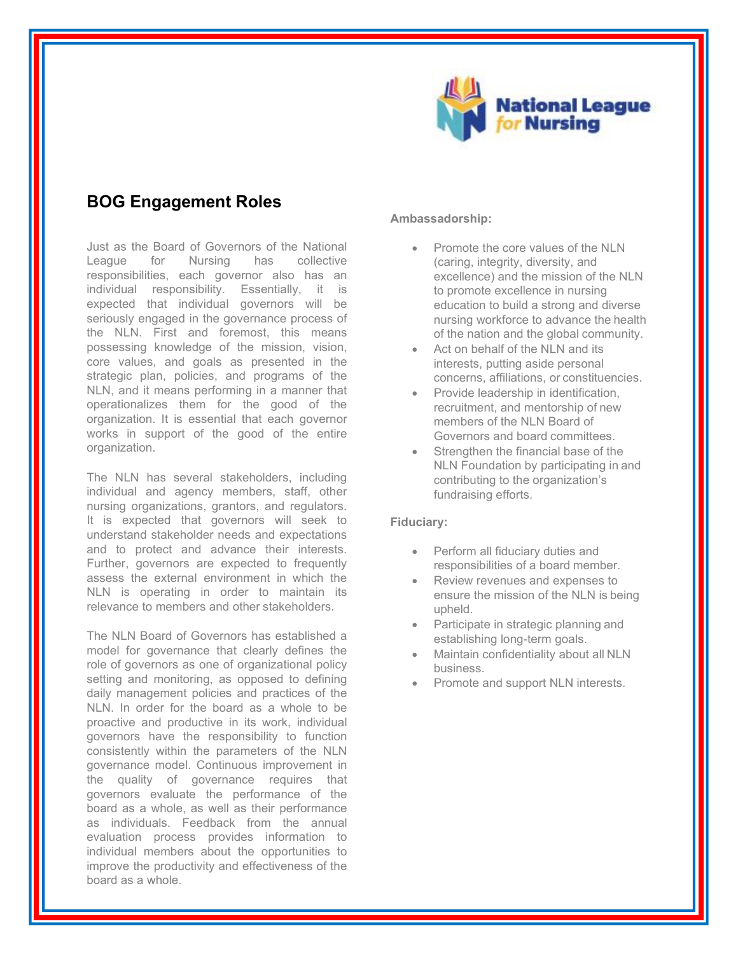

## **BOG Engagement Roles**

Just as the Board of Governors of the National League for Nursing has collective responsibilities, each governor also has an individual responsibility. Essentially, it is expected that individual governors will be seriously engaged in the governance process of the NLN. First and foremost, this means possessing knowledge of the mission, vision, core values, and goals as presented in the strategic plan, policies, and programs of the NLN, and it means performing in a manner that operationalizes them for the good of the organization. It is essential that each governor works in support of the good of the entire organization.

The NLN has several stakeholders, including individual and agency members, staff, other nursing organizations, grantors, and regulators. It is expected that governors will seek to understand stakeholder needs and expectations and to protect and advance their interests. Further, governors are expected to frequently assess the external environment in which the NLN is operating in order to maintain its relevance to members and other stakeholders.

The NLN Board of Governors has established a model for governance that clearly defines the role of governors as one of organizational policy setting and monitoring, as opposed to defining daily management policies and practices of the NLN. In order for the board as a whole to be proactive and productive in its work, individual governors have the responsibility to function consistently within the parameters of the NLN governance model. Continuous improvement in the quality of governance requires that governors evaluate the performance of the board as a whole, as well as their performance as individuals. Feedback from the annual evaluation process provides information to individual members about the opportunities to improve the productivity and effectiveness of the board as a whole.

#### **Ambassadorship:**

- Promote the core values of the NLN (caring, integrity, diversity, and excellence) and the mission of the NLN to promote excellence in nursing education to build a strong and diverse nursing workforce to advance the health of the nation and the global community.
- Act on behalf of the NLN and its interests, putting aside personal concerns, affiliations, or constituencies.
- Provide leadership in identification, recruitment, and mentorship of new members of the NLN Board of Governors and board committees.
- Strengthen the financial base of the NLN Foundation by participating in and contributing to the organization's fundraising efforts.

### **Fiduciary:**

- Perform all fiduciary duties and responsibilities of a board member.
- Review revenues and expenses to ensure the mission of the NLN is being upheld.
- Participate in strategic planning and establishing long-term goals.
- Maintain confidentiality about all NLN business.
- Promote and support NLN interests.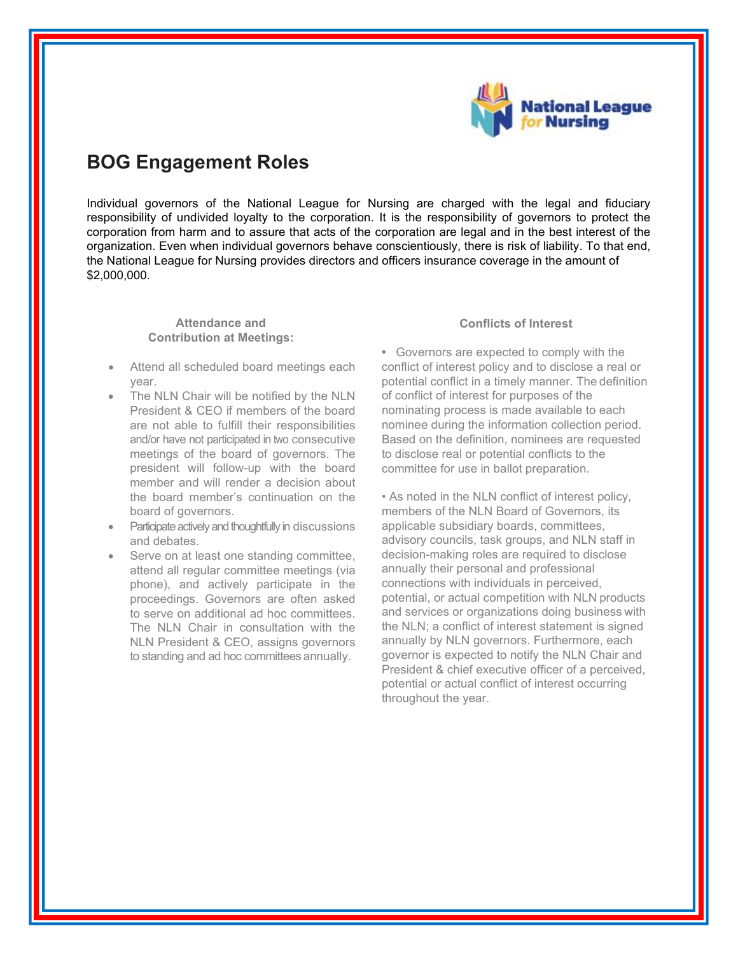

# **BOG Engagement Roles**

Individual governors of the National League for Nursing are charged with the legal and fiduciary responsibility of undivided loyalty to the corporation. It is the responsibility of governors to protect the corporation from harm and to assure that acts of the corporation are legal and in the best interest of the organization. Even when individual governors behave conscientiously, there is risk of liability. To that end, the National League for Nursing provides directors and officers insurance coverage in the amount of \$2,000,000.

#### **Attendance and Contribution at Meetings:**

- Attend all scheduled board meetings each year.
- The NLN Chair will be notified by the NLN President & CEO if members of the board are not able to fulfill their responsibilities and/or have not participated in two consecutive meetings of the board of governors. The president will follow-up with the board member and will render a decision about the board member's continuation on the board of governors.
- Participate actively and thoughtfully in discussions and debates.
- Serve on at least one standing committee, attend all regular committee meetings (via phone), and actively participate in the proceedings. Governors are often asked to serve on additional ad hoc committees. The NLN Chair in consultation with the NLN President & CEO, assigns governors to standing and ad hoc committees annually.

#### **Conflicts of Interest**

**•** Governors are expected to comply with the conflict of interest policy and to disclose a real or potential conflict in a timely manner. The definition of conflict of interest for purposes of the nominating process is made available to each nominee during the information collection period. Based on the definition, nominees are requested to disclose real or potential conflicts to the committee for use in ballot preparation.

• As noted in the NLN conflict of interest policy, members of the NLN Board of Governors, its applicable subsidiary boards, committees, advisory councils, task groups, and NLN staff in decision-making roles are required to disclose annually their personal and professional connections with individuals in perceived, potential, or actual competition with NLN products and services or organizations doing business with the NLN; a conflict of interest statement is signed annually by NLN governors. Furthermore, each governor is expected to notify the NLN Chair and President & chief executive officer of a perceived, potential or actual conflict of interest occurring throughout the year.